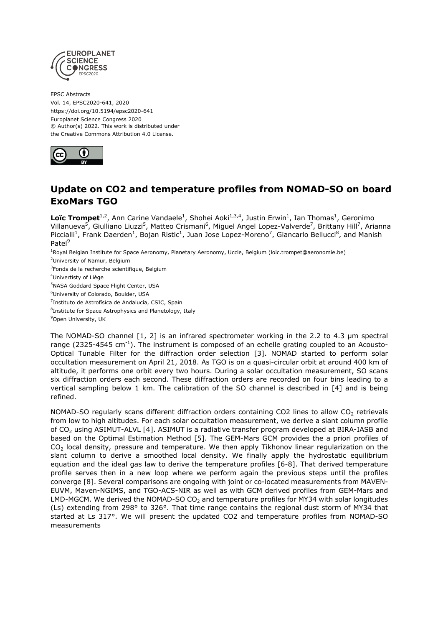

EPSC Abstracts Vol. 14, EPSC2020-641, 2020 https://doi.org/10.5194/epsc2020-641 Europlanet Science Congress 2020 © Author(s) 2022. This work is distributed under the Creative Commons Attribution 4.0 License.



## **Update on CO2 and temperature profiles from NOMAD-SO on board ExoMars TGO**

Loïc Trompet<sup>1,2</sup>, Ann Carine Vandaele<sup>1</sup>, Shohei Aoki<sup>1,3,4</sup>, Justin Erwin<sup>1</sup>, Ian Thomas<sup>1</sup>, Geronimo Villanueva<sup>5</sup>, Giulliano Liuzzi<sup>5</sup>, Matteo Crismani<sup>6</sup>, Miguel Angel Lopez-Valverde<sup>7</sup>, Brittany Hill<sup>7</sup>, Arianna Piccialli<sup>1</sup>, Frank Daerden<sup>1</sup>, Bojan Ristic<sup>1</sup>, Juan Jose Lopez-Moreno<sup>7</sup>, Giancarlo Bellucci<sup>8</sup>, and Manish Patel<sup>9</sup>

<sup>1</sup>Royal Belgian Institute for Space Aeronomy, Planetary Aeronomy, Uccle, Belgium (loic.trompet@aeronomie.be)

<sup>2</sup>University of Namur, Belgium

<sup>3</sup>Fonds de la recherche scientifique, Belgium

<sup>4</sup>Univertisty of Liège

<sup>5</sup>NASA Goddard Space Flight Center, USA

<sup>6</sup>University of Colorado, Boulder, USA

<sup>7</sup>Instituto de Astrofísica de Andalucía, CSIC, Spain

<sup>8</sup>Institute for Space Astrophysics and Planetology, Italy

<sup>9</sup>Open University, UK

The NOMAD-SO channel [1, 2] is an infrared spectrometer working in the 2.2 to 4.3 µm spectral range (2325-4545 cm<sup>-1</sup>). The instrument is composed of an echelle grating coupled to an Acousto-Optical Tunable Filter for the diffraction order selection [3]. NOMAD started to perform solar occultation measurement on April 21, 2018. As TGO is on a quasi-circular orbit at around 400 km of altitude, it performs one orbit every two hours. During a solar occultation measurement, SO scans six diffraction orders each second. These diffraction orders are recorded on four bins leading to a vertical sampling below 1 km. The calibration of the SO channel is described in [4] and is being refined.

NOMAD-SO regularly scans different diffraction orders containing CO2 lines to allow CO<sub>2</sub> retrievals from low to high altitudes. For each solar occultation measurement, we derive a slant column profile of CO<sub>2</sub> using ASIMUT-ALVL [4]. ASIMUT is a radiative transfer program developed at BIRA-IASB and based on the Optimal Estimation Method [5]. The GEM-Mars GCM provides the a priori profiles of CO<sub>2</sub> local density, pressure and temperature. We then apply Tikhonov linear regularization on the slant column to derive a smoothed local density. We finally apply the hydrostatic equilibrium equation and the ideal gas law to derive the temperature profiles [6-8]. That derived temperature profile serves then in a new loop where we perform again the previous steps until the profiles converge [8]. Several comparisons are ongoing with joint or co-located measurements from MAVEN-EUVM, Maven-NGIMS, and TGO-ACS-NIR as well as with GCM derived profiles from GEM-Mars and LMD-MGCM. We derived the NOMAD-SO  $CO<sub>2</sub>$  and temperature profiles for MY34 with solar longitudes (Ls) extending from 298° to 326°. That time range contains the regional dust storm of MY34 that started at Ls 317°. We will present the updated CO2 and temperature profiles from NOMAD-SO measurements